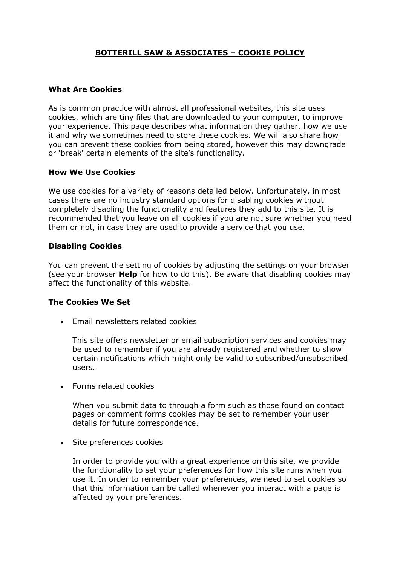# **BOTTERILL SAW & ASSOCIATES – COOKIE POLICY**

#### **What Are Cookies**

As is common practice with almost all professional websites, this site uses cookies, which are tiny files that are downloaded to your computer, to improve your experience. This page describes what information they gather, how we use it and why we sometimes need to store these cookies. We will also share how you can prevent these cookies from being stored, however this may downgrade or 'break' certain elements of the site's functionality.

### **How We Use Cookies**

We use cookies for a variety of reasons detailed below. Unfortunately, in most cases there are no industry standard options for disabling cookies without completely disabling the functionality and features they add to this site. It is recommended that you leave on all cookies if you are not sure whether you need them or not, in case they are used to provide a service that you use.

### **Disabling Cookies**

You can prevent the setting of cookies by adjusting the settings on your browser (see your browser **Help** for how to do this). Be aware that disabling cookies may affect the functionality of this website.

#### **The Cookies We Set**

• Email newsletters related cookies

This site offers newsletter or email subscription services and cookies may be used to remember if you are already registered and whether to show certain notifications which might only be valid to subscribed/unsubscribed users.

• Forms related cookies

When you submit data to through a form such as those found on contact pages or comment forms cookies may be set to remember your user details for future correspondence.

• Site preferences cookies

In order to provide you with a great experience on this site, we provide the functionality to set your preferences for how this site runs when you use it. In order to remember your preferences, we need to set cookies so that this information can be called whenever you interact with a page is affected by your preferences.